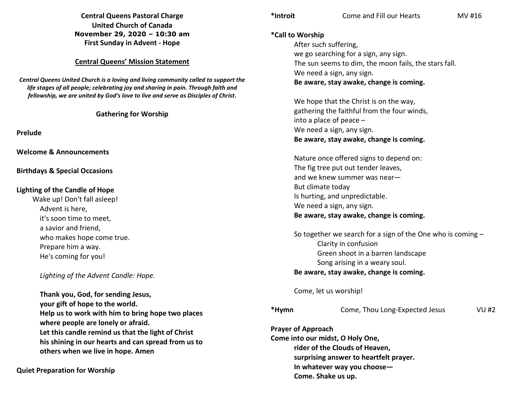**Central Queens Pastoral Charge United Church of Canada November 29, 2020 – 10:30 am First Sunday in Advent - Hope** 

#### **Central Queens' Mission Statement**

*Central Queens United Church is a loving and living community called to support the life stages of all people; celebrating joy and sharing in pain. Through faith and fellowship, we are united by God's love to live and serve as Disciples of Christ***.** 

### **Gathering for Worship**

**Prelude** 

**Welcome & Announcements** 

**Birthdays & Special Occasions** 

#### **Lighting of the Candle of Hope**

Wake up! Don't fall asleep! Advent is here, it's soon time to meet, a savior and friend, who makes hope come true. Prepare him a way. He's coming for you!

*Lighting of the Advent Candle: Hope.* 

**Thank you, God, for sending Jesus, your gift of hope to the world. Help us to work with him to bring hope two places where people are lonely or afraid. Let this candle remind us that the light of Christ his shining in our hearts and can spread from us to others when we live in hope. Amen** 

**Quiet Preparation for Worship** 

**\*Call to Worship** After such suffering,

 we go searching for a sign, any sign. The sun seems to dim, the moon fails, the stars fall. We need a sign, any sign. **Be aware, stay awake, change is coming.** 

 We hope that the Christ is on the way, gathering the faithful from the four winds, into a place of peace – We need a sign, any sign. **Be aware, stay awake, change is coming.**

Nature once offered signs to depend on: The fig tree put out tender leaves, and we knew summer was near— But climate today Is hurting, and unpredictable. We need a sign, any sign. **Be aware, stay awake, change is coming.** 

 So together we search for a sign of the One who is coming – Clarity in confusion Green shoot in a barren landscape Song arising in a weary soul. **Be aware, stay awake, change is coming.**

Come, let us worship!

**\*Hymn** Come, Thou Long-Expected Jesus VU #2

**Prayer of Approach Come into our midst, O Holy One, rider of the Clouds of Heaven, surprising answer to heartfelt prayer. In whatever way you choose— Come. Shake us up.**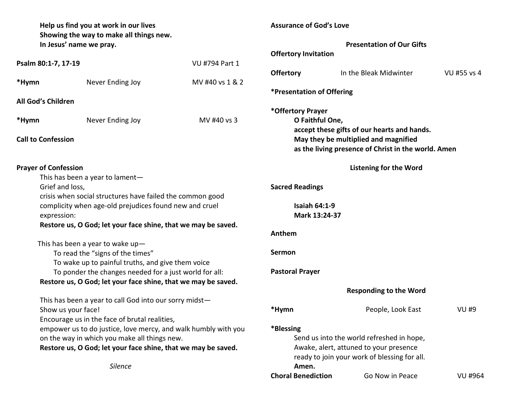| Help us find you at work in our lives<br>Showing the way to make all things new.                              |                                                                                                                     |                 | <b>Assurance of God's Love</b>                                                      |                                                     |              |
|---------------------------------------------------------------------------------------------------------------|---------------------------------------------------------------------------------------------------------------------|-----------------|-------------------------------------------------------------------------------------|-----------------------------------------------------|--------------|
|                                                                                                               | In Jesus' name we pray.                                                                                             |                 | <b>Presentation of Our Gifts</b>                                                    |                                                     |              |
|                                                                                                               |                                                                                                                     |                 | <b>Offertory Invitation</b>                                                         |                                                     |              |
| Psalm 80:1-7, 17-19                                                                                           |                                                                                                                     | VU #794 Part 1  | <b>Offertory</b>                                                                    | In the Bleak Midwinter                              | VU #55 vs 4  |
| *Hymn                                                                                                         | Never Ending Joy                                                                                                    | MV #40 vs 1 & 2 |                                                                                     |                                                     |              |
|                                                                                                               |                                                                                                                     |                 | *Presentation of Offering                                                           |                                                     |              |
| All God's Children                                                                                            |                                                                                                                     |                 |                                                                                     |                                                     |              |
| *Hymn                                                                                                         | Never Ending Joy                                                                                                    | MV #40 vs 3     | *Offertory Prayer<br>O Faithful One,                                                |                                                     |              |
|                                                                                                               |                                                                                                                     |                 |                                                                                     | accept these gifts of our hearts and hands.         |              |
| <b>Call to Confession</b>                                                                                     |                                                                                                                     |                 |                                                                                     | May they be multiplied and magnified                |              |
|                                                                                                               |                                                                                                                     |                 |                                                                                     | as the living presence of Christ in the world. Amen |              |
| <b>Prayer of Confession</b>                                                                                   |                                                                                                                     |                 |                                                                                     | <b>Listening for the Word</b>                       |              |
|                                                                                                               | This has been a year to lament-                                                                                     |                 |                                                                                     |                                                     |              |
|                                                                                                               | Grief and loss,                                                                                                     |                 | <b>Sacred Readings</b>                                                              |                                                     |              |
|                                                                                                               | crisis when social structures have failed the common good<br>complicity when age-old prejudices found new and cruel |                 | <b>Isaiah 64:1-9</b>                                                                |                                                     |              |
|                                                                                                               | expression:                                                                                                         |                 | Mark 13:24-37                                                                       |                                                     |              |
|                                                                                                               | Restore us, O God; let your face shine, that we may be saved.                                                       |                 |                                                                                     |                                                     |              |
|                                                                                                               |                                                                                                                     |                 | Anthem                                                                              |                                                     |              |
|                                                                                                               | This has been a year to wake $up-$                                                                                  |                 |                                                                                     |                                                     |              |
| To read the "signs of the times"                                                                              |                                                                                                                     |                 | <b>Sermon</b>                                                                       |                                                     |              |
| To wake up to painful truths, and give them voice<br>To ponder the changes needed for a just world for all:   |                                                                                                                     |                 | <b>Pastoral Prayer</b>                                                              |                                                     |              |
|                                                                                                               | Restore us, O God; let your face shine, that we may be saved.                                                       |                 |                                                                                     |                                                     |              |
|                                                                                                               |                                                                                                                     |                 |                                                                                     | <b>Responding to the Word</b>                       |              |
|                                                                                                               | This has been a year to call God into our sorry midst-                                                              |                 |                                                                                     |                                                     |              |
| Show us your face!                                                                                            |                                                                                                                     |                 | *Hymn                                                                               | People, Look East                                   | <b>VU #9</b> |
| Encourage us in the face of brutal realities,                                                                 |                                                                                                                     |                 |                                                                                     |                                                     |              |
| empower us to do justice, love mercy, and walk humbly with you                                                |                                                                                                                     |                 | *Blessing                                                                           |                                                     |              |
| on the way in which you make all things new.<br>Restore us, O God; let your face shine, that we may be saved. |                                                                                                                     |                 | Send us into the world refreshed in hope,<br>Awake, alert, attuned to your presence |                                                     |              |
|                                                                                                               |                                                                                                                     |                 |                                                                                     | ready to join your work of blessing for all.        |              |
| <b>Silence</b>                                                                                                |                                                                                                                     |                 | Amen.                                                                               |                                                     |              |
|                                                                                                               |                                                                                                                     |                 | <b>Choral Benediction</b>                                                           | Go Now in Peace                                     | VU #964      |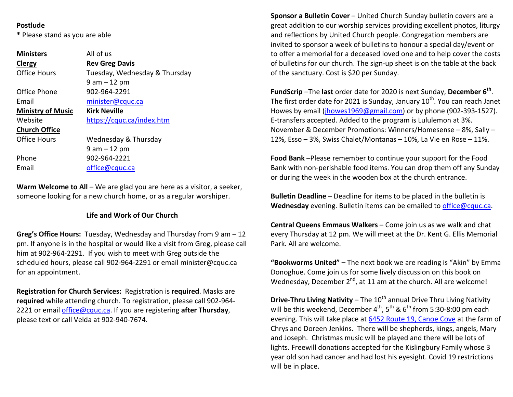## **Postlude**

**\*** Please stand as you are able

| <b>Ministers</b>         | All of us                     |  |  |  |
|--------------------------|-------------------------------|--|--|--|
| <b>Clergy</b>            | <b>Rev Greg Davis</b>         |  |  |  |
| Office Hours             | Tuesday, Wednesday & Thursday |  |  |  |
|                          | $9$ am $-12$ pm               |  |  |  |
| Office Phone             | 902-964-2291                  |  |  |  |
| Email                    | minister@cquc.ca              |  |  |  |
| <b>Ministry of Music</b> | <b>Kirk Neville</b>           |  |  |  |
| Website                  | https://cquc.ca/index.htm     |  |  |  |
| <b>Church Office</b>     |                               |  |  |  |
| Office Hours             | Wednesday & Thursday          |  |  |  |
|                          | $9$ am $-12$ pm               |  |  |  |
| Phone                    | 902-964-2221                  |  |  |  |
| Email                    | office@cquc.ca                |  |  |  |

**Warm Welcome to All** – We are glad you are here as a visitor, a seeker,someone looking for a new church home, or as a regular worshiper.

# **Life and Work of Our Church**

**Greg's Office Hours:** Tuesday, Wednesday and Thursday from 9 am – 12 pm. If anyone is in the hospital or would like a visit from Greg, please call him at 902-964-2291. If you wish to meet with Greg outside the scheduled hours, please call 902-964-2291 or email minister@cquc.ca for an appointment.

**Registration for Church Services:** Registration is **required**. Masks are **required** while attending church. To registration, please call 902-964-2221 or email office@cquc.ca. If you are registering **after Thursday**, please text or call Velda at 902-940-7674.

**Sponsor a Bulletin Cover** – United Church Sunday bulletin covers are a great addition to our worship services providing excellent photos, liturgy and reflections by United Church people. Congregation members are invited to sponsor a week of bulletins to honour a special day/event or to offer a memorial for a deceased loved one and to help cover the costs of bulletins for our church. The sign-up sheet is on the table at the back of the sanctuary. Cost is \$20 per Sunday.

**FundScrip** –The **last** order date for 2020 is next Sunday, **December 6th**. The first order date for 2021 is Sunday, January 10<sup>th</sup>. You can reach Janet Howes by email (jhowes1969@gmail.com) or by phone (902-393-1527). E-transfers accepted. Added to the program is Lululemon at 3%. November & December Promotions: Winners/Homesense – 8%, Sally – 12%, Esso – 3%, Swiss Chalet/Montanas – 10%, La Vie en Rose – 11%.

**Food Bank** –Please remember to continue your support for the Food Bank with non-perishable food items. You can drop them off any Sunday or during the week in the wooden box at the church entrance.

**Bulletin Deadline** – Deadline for items to be placed in the bulletin is **Wednesday** evening. Bulletin items can be emailed to office@cquc.ca.

**Central Queens Emmaus Walkers** – Come join us as we walk and chat every Thursday at 12 pm. We will meet at the Dr. Kent G. Ellis Memorial Park. All are welcome.

**"Bookworms United" –** The next book we are reading is "Akin" by Emma Donoghue. Come join us for some lively discussion on this book on Wednesday, December  $2^{nd}$ , at 11 am at the church. All are welcome!

**Drive-Thru Living Nativity** – The 10<sup>th</sup> annual Drive Thru Living Nativity will be this weekend, December  $4^{th}$ ,  $5^{th}$  &  $6^{th}$  from 5:30-8:00 pm each evening. This will take place at 6452 Route 19, Canoe Cove at the farm of Chrys and Doreen Jenkins. There will be shepherds, kings, angels, Mary and Joseph. Christmas music will be played and there will be lots of lights. Freewill donations accepted for the Kislingbury Family whose 3 year old son had cancer and had lost his eyesight. Covid 19 restrictions will be in place.